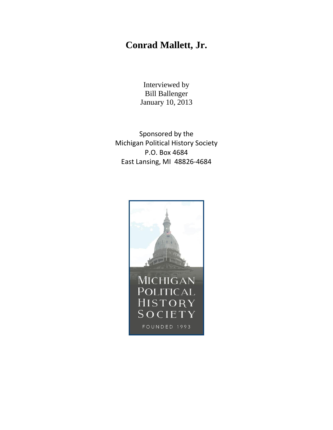## **Conrad Mallett, Jr.**

Interviewed by Bill Ballenger January 10, 2013

Sponsored by the Michigan Political History Society P.O. Box 4684 East Lansing, MI 48826-4684

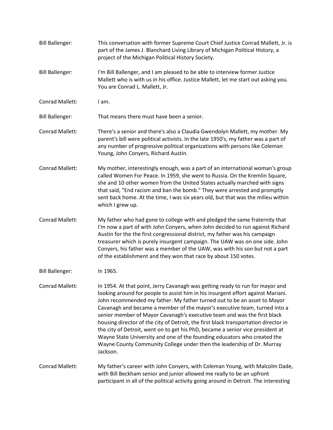Bill Ballenger: This conversation with former Supreme Court Chief Justice Conrad Mallett, Jr. is part of the James J. Blanchard Living Library of Michigan Political History, a project of the Michigan Political History Society. Bill Ballenger: I'm Bill Ballenger, and I am pleased to be able to interview former Justice Mallett who is with us in his office. Justice Mallett, let me start out asking you. You are Conrad L. Mallett, Jr. Conrad Mallett: I am. Bill Ballenger: That means there must have been a senior. Conrad Mallett: There's a senior and there's also a Claudia Gwendolyn Mallett, my mother. My parent's bill were political activists. In the late 1950's, my father was a part of any number of progressive political organizations with persons like Coleman Young, John Conyers, Richard Austin. Conrad Mallett: My mother, interestingly enough, was a part of an international woman's group called Women For Peace. In 1959, she went to Russia. On the Kremlin Square, she and 10 other women from the United States actually marched with signs that said, "End racism and ban the bomb." They were arrested and promptly sent back home. At the time, I was six years old, but that was the milieu within which I grew up. Conrad Mallett: My father who had gone to college with and pledged the same fraternity that I'm now a part of with John Conyers, when John decided to run against Richard Austin for the the first congressional district, my father was his campaign treasurer which is purely insurgent campaign. The UAW was on one side. John Conyers, his father was a member of the UAW, was with his son but not a part of the establishment and they won that race by about 150 votes. Bill Ballenger: In 1965. Conrad Mallett: In 1954. At that point, Jerry Cavanagh was getting ready to run for mayor and looking around for people to assist him in his insurgent effort against Mariani. John recommended my father. My father turned out to be an asset to Mayor Cavanagh and became a member of the mayor's executive team, turned into a senior member of Mayor Cavanagh's executive team and was the first black housing director of the city of Detroit, the first black transportation director in the city of Detroit, went on to get his PhD, became a senior vice president at Wayne State University and one of the founding educators who created the Wayne County Community College under then the leadership of Dr. Murray Jackson. Conrad Mallett: My father's career with John Conyers, with Coleman Young, with Malcolm Dade, with Bill Beckham senior and junior allowed me really to be an upfront participant in all of the political activity going around in Detroit. The interesting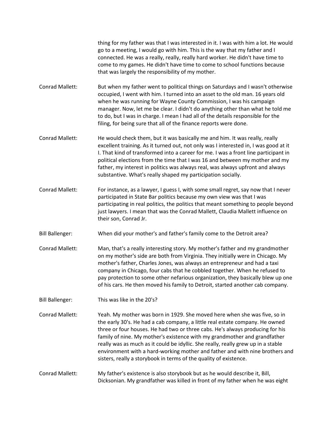thing for my father was that I was interested in it. I was with him a lot. He would go to a meeting, I would go with him. This is the way that my father and I connected. He was a really, really, really hard worker. He didn't have time to come to my games. He didn't have time to come to school functions because that was largely the responsibility of my mother.

Conrad Mallett: But when my father went to political things on Saturdays and I wasn't otherwise occupied, I went with him. I turned into an asset to the old man. 16 years old when he was running for Wayne County Commission, I was his campaign manager. Now, let me be clear. I didn't do anything other than what he told me to do, but I was in charge. I mean I had all of the details responsible for the filing, for being sure that all of the finance reports were done.

- Conrad Mallett: He would check them, but it was basically me and him. It was really, really excellent training. As it turned out, not only was I interested in, I was good at it I. That kind of transformed into a career for me. I was a front line participant in political elections from the time that I was 16 and between my mother and my father, my interest in politics was always real, was always upfront and always substantive. What's really shaped my participation socially.
- Conrad Mallett: For instance, as a lawyer, I guess I, with some small regret, say now that I never participated in State Bar politics because my own view was that I was participating in real politics, the politics that meant something to people beyond just lawyers. I mean that was the Conrad Mallett, Claudia Mallett influence on their son, Conrad Jr.
- Bill Ballenger: When did your mother's and father's family come to the Detroit area?
- Conrad Mallett: Man, that's a really interesting story. My mother's father and my grandmother on my mother's side are both from Virginia. They initially were in Chicago. My mother's father, Charles Jones, was always an entrepreneur and had a taxi company in Chicago, four cabs that he cobbled together. When he refused to pay protection to some other nefarious organization, they basically blew up one of his cars. He then moved his family to Detroit, started another cab company.
- Bill Ballenger: This was like in the 20's?
- Conrad Mallett: Yeah. My mother was born in 1929. She moved here when she was five, so in the early 30's. He had a cab company, a little real estate company. He owned three or four houses. He had two or three cabs. He's always producing for his family of nine. My mother's existence with my grandmother and grandfather really was as much as it could be idyllic. She really, really grew up in a stable environment with a hard-working mother and father and with nine brothers and sisters, really a storybook in terms of the quality of existence.

## Conrad Mallett: My father's existence is also storybook but as he would describe it, Bill, Dicksonian. My grandfather was killed in front of my father when he was eight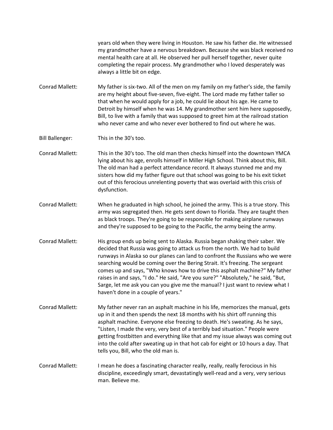years old when they were living in Houston. He saw his father die. He witnessed my grandmother have a nervous breakdown. Because she was black received no mental health care at all. He observed her pull herself together, never quite completing the repair process. My grandmother who I loved desperately was always a little bit on edge.

Conrad Mallett: My father is six-two. All of the men on my family on my father's side, the family are my height about five-seven, five-eight. The Lord made my father taller so that when he would apply for a job, he could lie about his age. He came to Detroit by himself when he was 14. My grandmother sent him here supposedly, Bill, to live with a family that was supposed to greet him at the railroad station who never came and who never ever bothered to find out where he was.

Bill Ballenger: This in the 30's too.

- Conrad Mallett: This in the 30's too. The old man then checks himself into the downtown YMCA lying about his age, enrolls himself in Miller High School. Think about this, Bill. The old man had a perfect attendance record. It always stunned me and my sisters how did my father figure out that school was going to be his exit ticket out of this ferocious unrelenting poverty that was overlaid with this crisis of dysfunction.
- Conrad Mallett: When he graduated in high school, he joined the army. This is a true story. This army was segregated then. He gets sent down to Florida. They are taught then as black troops. They're going to be responsible for making airplane runways and they're supposed to be going to the Pacific, the army being the army.
- Conrad Mallett: His group ends up being sent to Alaska. Russia began shaking their saber. We decided that Russia was going to attack us from the north. We had to build runways in Alaska so our planes can land to confront the Russians who we were searching would be coming over the Bering Strait. It's freezing. The sergeant comes up and says, "Who knows how to drive this asphalt machine?" My father raises in and says, "I do." He said, "Are you sure?" "Absolutely," he said, "But, Sarge, let me ask you can you give me the manual? I just want to review what I haven't done in a couple of years."
- Conrad Mallett: My father never ran an asphalt machine in his life, memorizes the manual, gets up in it and then spends the next 18 months with his shirt off running this asphalt machine. Everyone else freezing to death. He's sweating. As he says, "Listen, I made the very, very best of a terribly bad situation." People were getting frostbitten and everything like that and my issue always was coming out into the cold after sweating up in that hot cab for eight or 10 hours a day. That tells you, Bill, who the old man is.
- Conrad Mallett: I mean he does a fascinating character really, really, really ferocious in his discipline, exceedingly smart, devastatingly well-read and a very, very serious man. Believe me.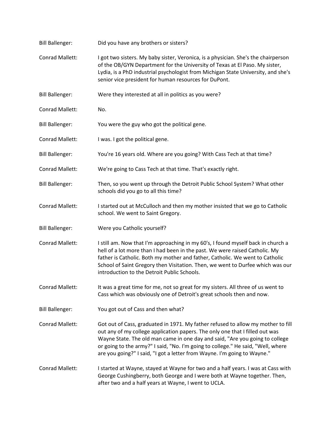| <b>Bill Ballenger:</b> | Did you have any brothers or sisters?                                                                                                                                                                                                                                                                                                                                                                            |
|------------------------|------------------------------------------------------------------------------------------------------------------------------------------------------------------------------------------------------------------------------------------------------------------------------------------------------------------------------------------------------------------------------------------------------------------|
| Conrad Mallett:        | I got two sisters. My baby sister, Veronica, is a physician. She's the chairperson<br>of the OB/GYN Department for the University of Texas at El Paso. My sister,<br>Lydia, is a PhD industrial psychologist from Michigan State University, and she's<br>senior vice president for human resources for DuPont.                                                                                                  |
| <b>Bill Ballenger:</b> | Were they interested at all in politics as you were?                                                                                                                                                                                                                                                                                                                                                             |
| <b>Conrad Mallett:</b> | No.                                                                                                                                                                                                                                                                                                                                                                                                              |
| <b>Bill Ballenger:</b> | You were the guy who got the political gene.                                                                                                                                                                                                                                                                                                                                                                     |
| Conrad Mallett:        | I was. I got the political gene.                                                                                                                                                                                                                                                                                                                                                                                 |
| <b>Bill Ballenger:</b> | You're 16 years old. Where are you going? With Cass Tech at that time?                                                                                                                                                                                                                                                                                                                                           |
| Conrad Mallett:        | We're going to Cass Tech at that time. That's exactly right.                                                                                                                                                                                                                                                                                                                                                     |
| <b>Bill Ballenger:</b> | Then, so you went up through the Detroit Public School System? What other<br>schools did you go to all this time?                                                                                                                                                                                                                                                                                                |
| Conrad Mallett:        | I started out at McCulloch and then my mother insisted that we go to Catholic<br>school. We went to Saint Gregory.                                                                                                                                                                                                                                                                                               |
| <b>Bill Ballenger:</b> | Were you Catholic yourself?                                                                                                                                                                                                                                                                                                                                                                                      |
| Conrad Mallett:        | I still am. Now that I'm approaching in my 60's, I found myself back in church a<br>hell of a lot more than I had been in the past. We were raised Catholic. My<br>father is Catholic. Both my mother and father, Catholic. We went to Catholic<br>School of Saint Gregory then Visitation. Then, we went to Durfee which was our<br>introduction to the Detroit Public Schools.                                 |
| Conrad Mallett:        | It was a great time for me, not so great for my sisters. All three of us went to<br>Cass which was obviously one of Detroit's great schools then and now.                                                                                                                                                                                                                                                        |
| <b>Bill Ballenger:</b> | You got out of Cass and then what?                                                                                                                                                                                                                                                                                                                                                                               |
| Conrad Mallett:        | Got out of Cass, graduated in 1971. My father refused to allow my mother to fill<br>out any of my college application papers. The only one that I filled out was<br>Wayne State. The old man came in one day and said, "Are you going to college<br>or going to the army?" I said, "No. I'm going to college." He said, "Well, where<br>are you going?" I said, "I got a letter from Wayne. I'm going to Wayne." |
| Conrad Mallett:        | I started at Wayne, stayed at Wayne for two and a half years. I was at Cass with<br>George Cushingberry, both George and I were both at Wayne together. Then,<br>after two and a half years at Wayne, I went to UCLA.                                                                                                                                                                                            |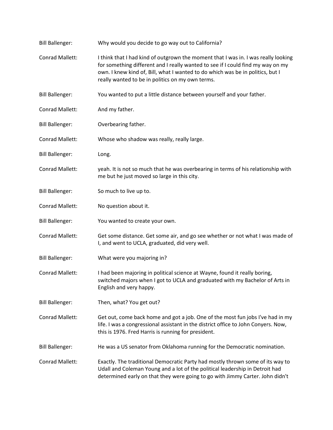| <b>Bill Ballenger:</b> | Why would you decide to go way out to California?                                                                                                                                                                                                                                                           |
|------------------------|-------------------------------------------------------------------------------------------------------------------------------------------------------------------------------------------------------------------------------------------------------------------------------------------------------------|
| <b>Conrad Mallett:</b> | I think that I had kind of outgrown the moment that I was in. I was really looking<br>for something different and I really wanted to see if I could find my way on my<br>own. I knew kind of, Bill, what I wanted to do which was be in politics, but I<br>really wanted to be in politics on my own terms. |
| <b>Bill Ballenger:</b> | You wanted to put a little distance between yourself and your father.                                                                                                                                                                                                                                       |
| <b>Conrad Mallett:</b> | And my father.                                                                                                                                                                                                                                                                                              |
| <b>Bill Ballenger:</b> | Overbearing father.                                                                                                                                                                                                                                                                                         |
| Conrad Mallett:        | Whose who shadow was really, really large.                                                                                                                                                                                                                                                                  |
| <b>Bill Ballenger:</b> | Long.                                                                                                                                                                                                                                                                                                       |
| Conrad Mallett:        | yeah. It is not so much that he was overbearing in terms of his relationship with<br>me but he just moved so large in this city.                                                                                                                                                                            |
| <b>Bill Ballenger:</b> | So much to live up to.                                                                                                                                                                                                                                                                                      |
| Conrad Mallett:        | No question about it.                                                                                                                                                                                                                                                                                       |
| <b>Bill Ballenger:</b> | You wanted to create your own.                                                                                                                                                                                                                                                                              |
| Conrad Mallett:        | Get some distance. Get some air, and go see whether or not what I was made of<br>I, and went to UCLA, graduated, did very well.                                                                                                                                                                             |
| <b>Bill Ballenger:</b> | What were you majoring in?                                                                                                                                                                                                                                                                                  |
| <b>Conrad Mallett:</b> | I had been majoring in political science at Wayne, found it really boring,<br>switched majors when I got to UCLA and graduated with my Bachelor of Arts in<br>English and very happy.                                                                                                                       |
| <b>Bill Ballenger:</b> | Then, what? You get out?                                                                                                                                                                                                                                                                                    |
| Conrad Mallett:        | Get out, come back home and got a job. One of the most fun jobs I've had in my<br>life. I was a congressional assistant in the district office to John Conyers. Now,<br>this is 1976. Fred Harris is running for president.                                                                                 |
| <b>Bill Ballenger:</b> | He was a US senator from Oklahoma running for the Democratic nomination.                                                                                                                                                                                                                                    |
| Conrad Mallett:        | Exactly. The traditional Democratic Party had mostly thrown some of its way to<br>Udall and Coleman Young and a lot of the political leadership in Detroit had<br>determined early on that they were going to go with Jimmy Carter. John didn't                                                             |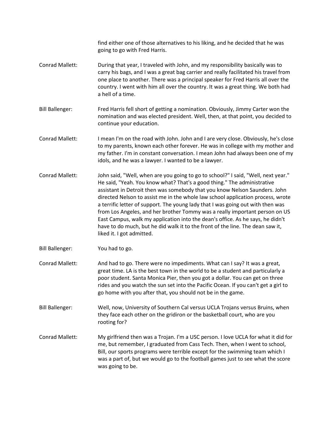find either one of those alternatives to his liking, and he decided that he was going to go with Fred Harris.

- Conrad Mallett: During that year, I traveled with John, and my responsibility basically was to carry his bags, and I was a great bag carrier and really facilitated his travel from one place to another. There was a principal speaker for Fred Harris all over the country. I went with him all over the country. It was a great thing. We both had a hell of a time.
- Bill Ballenger: Fred Harris fell short of getting a nomination. Obviously, Jimmy Carter won the nomination and was elected president. Well, then, at that point, you decided to continue your education.
- Conrad Mallett: I mean I'm on the road with John. John and I are very close. Obviously, he's close to my parents, known each other forever. He was in college with my mother and my father. I'm in constant conversation. I mean John had always been one of my idols, and he was a lawyer. I wanted to be a lawyer.
- Conrad Mallett: John said, "Well, when are you going to go to school?" I said, "Well, next year." He said, "Yeah. You know what? That's a good thing." The administrative assistant in Detroit then was somebody that you know Nelson Saunders. John directed Nelson to assist me in the whole law school application process, wrote a terrific letter of support. The young lady that I was going out with then was from Los Angeles, and her brother Tommy was a really important person on US East Campus, walk my application into the dean's office. As he says, he didn't have to do much, but he did walk it to the front of the line. The dean saw it, liked it. I got admitted.
- Bill Ballenger: You had to go.
- Conrad Mallett: And had to go. There were no impediments. What can I say? It was a great, great time. LA is the best town in the world to be a student and particularly a poor student. Santa Monica Pier, then you got a dollar. You can get on three rides and you watch the sun set into the Pacific Ocean. If you can't get a girl to go home with you after that, you should not be in the game.

Bill Ballenger: Well, now, University of Southern Cal versus UCLA Trojans versus Bruins, when they face each other on the gridiron or the basketball court, who are you rooting for?

Conrad Mallett: My girlfriend then was a Trojan. I'm a USC person. I love UCLA for what it did for me, but remember, I graduated from Cass Tech. Then, when I went to school, Bill, our sports programs were terrible except for the swimming team which I was a part of, but we would go to the football games just to see what the score was going to be.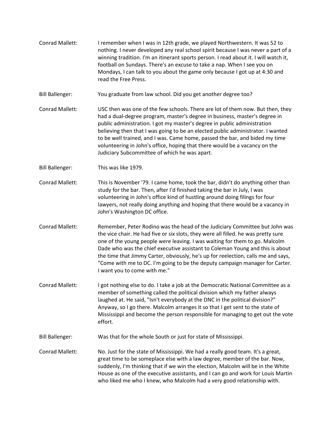Conrad Mallett: I remember when I was in 12th grade, we played Northwestern. It was 52 to nothing. I never developed any real school spirit because I was never a part of a winning tradition. I'm an itinerant sports person. I read about it. I will watch it, football on Sundays. There's an excuse to take a nap. When I see you on Mondays, I can talk to you about the game only because I got up at 4:30 and read the Free Press. Bill Ballenger: You graduate from law school. Did you get another degree too? Conrad Mallett: USC then was one of the few schools. There are lot of them now. But then, they had a dual-degree program, master's degree in business, master's degree in public administration. I got my master's degree in public administration believing then that I was going to be an elected public administrator. I wanted to be well trained, and I was. Came home, passed the bar, and bided my time volunteering in John's office, hoping that there would be a vacancy on the Judiciary Subcommittee of which he was apart. Bill Ballenger: This was like 1979. Conrad Mallett: This is November '79. I came home, took the bar, didn't do anything other than study for the bar. Then, after I'd finished taking the bar in July, I was volunteering in John's office kind of hustling around doing filings for four lawyers, not really doing anything and hoping that there would be a vacancy in John's Washington DC office. Conrad Mallett: Remember, Peter Rodino was the head of the Judiciary Committee but John was the vice chair. He had five or six slots, they were all filled. he was pretty sure one of the young people were leaving. I was waiting for them to go. Malcolm Dade who was the chief executive assistant to Coleman Young and this is about the time that Jimmy Carter, obviously, he's up for reelection, calls me and says, "Come with me to DC. I'm going to be the deputy campaign manager for Carter. I want you to come with me." Conrad Mallett: I got nothing else to do. I take a job at the Democratic National Committee as a member of something called the political division which my father always laughed at. He said, "Isn't everybody at the DNC in the political division?" Anyway, so I go there. Malcolm arranges it so that I get sent to the state of Mississippi and become the person responsible for managing to get out the vote effort. Bill Ballenger: Was that for the whole South or just for state of Mississippi. Conrad Mallett: No. Just for the state of Mississippi. We had a really good team. It's a great, great time to be someplace else with a law degree, member of the bar. Now, suddenly, I'm thinking that if we win the election, Malcolm will be in the White House as one of the executive assistants, and I can go and work for Louis Martin who liked me who I knew, who Malcolm had a very good relationship with.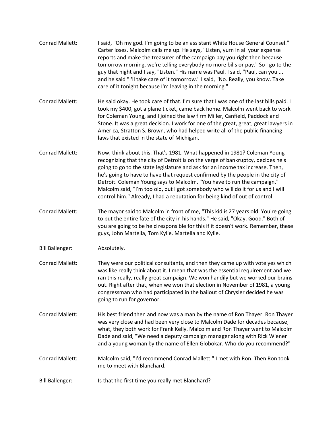| Conrad Mallett:        | I said, "Oh my god. I'm going to be an assistant White House General Counsel."<br>Carter loses. Malcolm calls me up. He says, "Listen, yurn in all your expense<br>reports and make the treasurer of the campaign pay you right then because<br>tomorrow morning, we're telling everybody no more bills or pay." So I go to the<br>guy that night and I say, "Listen." His name was Paul. I said, "Paul, can you<br>and he said "I'll take care of it tomorrow." I said, "No. Really, you know. Take<br>care of it tonight because I'm leaving in the morning."               |
|------------------------|-------------------------------------------------------------------------------------------------------------------------------------------------------------------------------------------------------------------------------------------------------------------------------------------------------------------------------------------------------------------------------------------------------------------------------------------------------------------------------------------------------------------------------------------------------------------------------|
| Conrad Mallett:        | He said okay. He took care of that. I'm sure that I was one of the last bills paid. I<br>took my \$400, got a plane ticket, came back home. Malcolm went back to work<br>for Coleman Young, and I joined the law firm Miller, Canfield, Paddock and<br>Stone. It was a great decision. I work for one of the great, great, great lawyers in<br>America, Stratton S. Brown, who had helped write all of the public financing<br>laws that existed in the state of Michigan.                                                                                                    |
| Conrad Mallett:        | Now, think about this. That's 1981. What happened in 1981? Coleman Young<br>recognizing that the city of Detroit is on the verge of bankruptcy, decides he's<br>going to go to the state legislature and ask for an income tax increase. Then,<br>he's going to have to have that request confirmed by the people in the city of<br>Detroit. Coleman Young says to Malcolm, "You have to run the campaign."<br>Malcolm said, "I'm too old, but I got somebody who will do it for us and I will<br>control him." Already, I had a reputation for being kind of out of control. |
| Conrad Mallett:        | The mayor said to Malcolm in front of me, "This kid is 27 years old. You're going<br>to put the entire fate of the city in his hands." He said, "Okay. Good." Both of<br>you are going to be held responsible for this if it doesn't work. Remember, these<br>guys, John Martella, Tom Kylie. Martella and Kylie.                                                                                                                                                                                                                                                             |
| <b>Bill Ballenger:</b> | Absolutely.                                                                                                                                                                                                                                                                                                                                                                                                                                                                                                                                                                   |
| Conrad Mallett:        | They were our political consultants, and then they came up with vote yes which<br>was like really think about it. I mean that was the essential requirement and we<br>ran this really, really great campaign. We won handily but we worked our brains<br>out. Right after that, when we won that election in November of 1981, a young<br>congressman who had participated in the bailout of Chrysler decided he was<br>going to run for governor.                                                                                                                            |
| <b>Conrad Mallett:</b> | His best friend then and now was a man by the name of Ron Thayer. Ron Thayer<br>was very close and had been very close to Malcolm Dade for decades because,<br>what, they both work for Frank Kelly. Malcolm and Ron Thayer went to Malcolm<br>Dade and said, "We need a deputy campaign manager along with Rick Wiener<br>and a young woman by the name of Ellen Globokar. Who do you recommend?"                                                                                                                                                                            |
| <b>Conrad Mallett:</b> | Malcolm said, "I'd recommend Conrad Mallett." I met with Ron. Then Ron took<br>me to meet with Blanchard.                                                                                                                                                                                                                                                                                                                                                                                                                                                                     |
| <b>Bill Ballenger:</b> | Is that the first time you really met Blanchard?                                                                                                                                                                                                                                                                                                                                                                                                                                                                                                                              |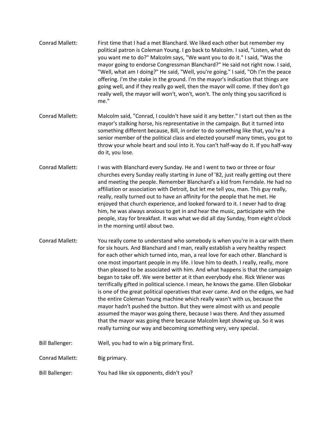| Conrad Mallett:        | First time that I had a met Blanchard. We liked each other but remember my<br>political patron is Coleman Young. I go back to Malcolm. I said, "Listen, what do<br>you want me to do?" Malcolm says, "We want you to do it." I said, "Was the                                                                                                                                                                                                                                                                                                                                                                                                                                                                                                                                                                                                                                                                                                                                                                                                                              |
|------------------------|----------------------------------------------------------------------------------------------------------------------------------------------------------------------------------------------------------------------------------------------------------------------------------------------------------------------------------------------------------------------------------------------------------------------------------------------------------------------------------------------------------------------------------------------------------------------------------------------------------------------------------------------------------------------------------------------------------------------------------------------------------------------------------------------------------------------------------------------------------------------------------------------------------------------------------------------------------------------------------------------------------------------------------------------------------------------------|
|                        | mayor going to endorse Congressman Blanchard?" He said not right now. I said,<br>"Well, what am I doing?" He said, "Well, you're going." I said, "Oh I'm the peace<br>offering. I'm the stake in the ground. I'm the mayor's indication that things are<br>going well, and if they really go well, then the mayor will come. If they don't go<br>really well, the mayor will won't, won't, won't. The only thing you sacrificed is<br>me."                                                                                                                                                                                                                                                                                                                                                                                                                                                                                                                                                                                                                                 |
| <b>Conrad Mallett:</b> | Malcolm said, "Conrad, I couldn't have said it any better." I start out then as the<br>mayor's stalking horse, his representative in the campaign. But it turned into<br>something different because, Bill, in order to do something like that, you're a<br>senior member of the political class and elected yourself many times, you got to<br>throw your whole heart and soul into it. You can't half-way do it. If you half-way<br>do it, you lose.                                                                                                                                                                                                                                                                                                                                                                                                                                                                                                                                                                                                                     |
| Conrad Mallett:        | I was with Blanchard every Sunday. He and I went to two or three or four<br>churches every Sunday really starting in June of '82, just really getting out there<br>and meeting the people. Remember Blanchard's a kid from Ferndale. He had no<br>affiliation or association with Detroit, but let me tell you, man. This guy really,<br>really, really turned out to have an affinity for the people that he met. He<br>enjoyed that church experience, and looked forward to it. I never had to drag<br>him, he was always anxious to get in and hear the music, participate with the<br>people, stay for breakfast. It was what we did all day Sunday, from eight o'clock<br>in the morning until about two.                                                                                                                                                                                                                                                                                                                                                            |
| Conrad Mallett:        | You really come to understand who somebody is when you're in a car with them<br>for six hours. And Blanchard and I man, really establish a very healthy respect<br>for each other which turned into, man, a real love for each other. Blanchard is<br>one most important people in my life. I love him to death. I really, really, more<br>than pleased to be associated with him. And what happens is that the campaign<br>began to take off. We were better at it than everybody else. Rick Wiener was<br>terrifically gifted in political science. I mean, he knows the game. Ellen Globokar<br>is one of the great political operatives that ever came. And on the edges, we had<br>the entire Coleman Young machine which really wasn't with us, because the<br>mayor hadn't pushed the button. But they were almost with us and people<br>assumed the mayor was going there, because I was there. And they assumed<br>that the mayor was going there because Malcolm kept showing up. So it was<br>really turning our way and becoming something very, very special. |
| <b>Bill Ballenger:</b> | Well, you had to win a big primary first.                                                                                                                                                                                                                                                                                                                                                                                                                                                                                                                                                                                                                                                                                                                                                                                                                                                                                                                                                                                                                                  |
| Conrad Mallett:        | Big primary.                                                                                                                                                                                                                                                                                                                                                                                                                                                                                                                                                                                                                                                                                                                                                                                                                                                                                                                                                                                                                                                               |
| <b>Bill Ballenger:</b> | You had like six opponents, didn't you?                                                                                                                                                                                                                                                                                                                                                                                                                                                                                                                                                                                                                                                                                                                                                                                                                                                                                                                                                                                                                                    |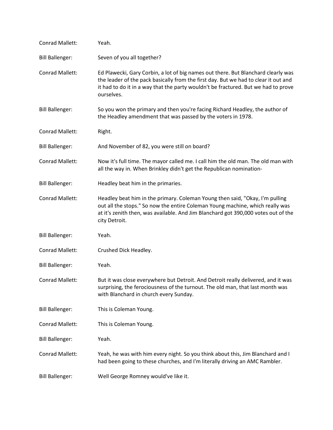| Conrad Mallett:        | Yeah.                                                                                                                                                                                                                                                                        |
|------------------------|------------------------------------------------------------------------------------------------------------------------------------------------------------------------------------------------------------------------------------------------------------------------------|
| <b>Bill Ballenger:</b> | Seven of you all together?                                                                                                                                                                                                                                                   |
| Conrad Mallett:        | Ed Plawecki, Gary Corbin, a lot of big names out there. But Blanchard clearly was<br>the leader of the pack basically from the first day. But we had to clear it out and<br>it had to do it in a way that the party wouldn't be fractured. But we had to prove<br>ourselves. |
| <b>Bill Ballenger:</b> | So you won the primary and then you're facing Richard Headley, the author of<br>the Headley amendment that was passed by the voters in 1978.                                                                                                                                 |
| Conrad Mallett:        | Right.                                                                                                                                                                                                                                                                       |
| <b>Bill Ballenger:</b> | And November of 82, you were still on board?                                                                                                                                                                                                                                 |
| Conrad Mallett:        | Now it's full time. The mayor called me. I call him the old man. The old man with<br>all the way in. When Brinkley didn't get the Republican nomination-                                                                                                                     |
| <b>Bill Ballenger:</b> | Headley beat him in the primaries.                                                                                                                                                                                                                                           |
| Conrad Mallett:        | Headley beat him in the primary. Coleman Young then said, "Okay, I'm pulling<br>out all the stops." So now the entire Coleman Young machine, which really was<br>at it's zenith then, was available. And Jim Blanchard got 390,000 votes out of the<br>city Detroit.         |
| <b>Bill Ballenger:</b> | Yeah.                                                                                                                                                                                                                                                                        |
| Conrad Mallett:        | Crushed Dick Headley.                                                                                                                                                                                                                                                        |
| <b>Bill Ballenger:</b> | Yeah.                                                                                                                                                                                                                                                                        |
| <b>Conrad Mallett:</b> | But it was close everywhere but Detroit. And Detroit really delivered, and it was<br>surprising, the ferociousness of the turnout. The old man, that last month was<br>with Blanchard in church every Sunday.                                                                |
| <b>Bill Ballenger:</b> | This is Coleman Young.                                                                                                                                                                                                                                                       |
| Conrad Mallett:        | This is Coleman Young.                                                                                                                                                                                                                                                       |
| <b>Bill Ballenger:</b> | Yeah.                                                                                                                                                                                                                                                                        |
| Conrad Mallett:        | Yeah, he was with him every night. So you think about this, Jim Blanchard and I<br>had been going to these churches, and I'm literally driving an AMC Rambler.                                                                                                               |
| <b>Bill Ballenger:</b> | Well George Romney would've like it.                                                                                                                                                                                                                                         |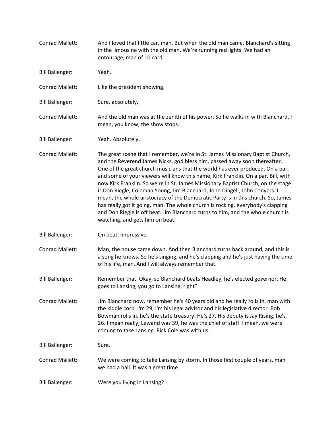| Conrad Mallett:        | And I loved that little car, man. But when the old man came, Blanchard's sitting<br>in the limousine with the old man. We're running red lights. We had an<br>entourage, man of 10 card.                                                                                                                                                                                                                                                                                                                                                                                                                                                                                                                                                                                                         |
|------------------------|--------------------------------------------------------------------------------------------------------------------------------------------------------------------------------------------------------------------------------------------------------------------------------------------------------------------------------------------------------------------------------------------------------------------------------------------------------------------------------------------------------------------------------------------------------------------------------------------------------------------------------------------------------------------------------------------------------------------------------------------------------------------------------------------------|
| <b>Bill Ballenger:</b> | Yeah.                                                                                                                                                                                                                                                                                                                                                                                                                                                                                                                                                                                                                                                                                                                                                                                            |
| Conrad Mallett:        | Like the president showing.                                                                                                                                                                                                                                                                                                                                                                                                                                                                                                                                                                                                                                                                                                                                                                      |
| <b>Bill Ballenger:</b> | Sure, absolutely.                                                                                                                                                                                                                                                                                                                                                                                                                                                                                                                                                                                                                                                                                                                                                                                |
| Conrad Mallett:        | And the old man was at the zenith of his power. So he walks in with Blanchard. I<br>mean, you know, the show stops.                                                                                                                                                                                                                                                                                                                                                                                                                                                                                                                                                                                                                                                                              |
| <b>Bill Ballenger:</b> | Yeah. Absolutely.                                                                                                                                                                                                                                                                                                                                                                                                                                                                                                                                                                                                                                                                                                                                                                                |
| Conrad Mallett:        | The great scene that I remember, we're in St. James Missionary Baptist Church,<br>and the Reverend James Nicks, god bless him, passed away soon thereafter.<br>One of the great church musicians that the world has ever produced. On a par,<br>and some of your viewers will know this name, Kirk Franklin. On a par, Bill, with<br>now Kirk Franklin. So we're in St. James Missionary Baptist Church, on the stage<br>is Don Riegle, Coleman Young, Jim Blanchard, John Dingell, John Conyers. I<br>mean, the whole aristocracy of the Democratic Party is in this church. So, James<br>has really got it going, man. The whole church is rocking, everybody's clapping<br>and Don Riegle is off beat. Jim Blanchard turns to him, and the whole church is<br>watching, and gets him on beat. |
| <b>Bill Ballenger:</b> | On beat. Impressive.                                                                                                                                                                                                                                                                                                                                                                                                                                                                                                                                                                                                                                                                                                                                                                             |
| Conrad Mallett:        | Man, the house came down. And then Blanchard turns back around, and this is<br>a song he knows. So he's singing, and he's clapping and he's just having the time<br>of his life, man. And I will always remember that.                                                                                                                                                                                                                                                                                                                                                                                                                                                                                                                                                                           |
| <b>Bill Ballenger:</b> | Remember that. Okay, so Blanchard beats Headley, he's elected governor. He<br>goes to Lansing, you go to Lansing, right?                                                                                                                                                                                                                                                                                                                                                                                                                                                                                                                                                                                                                                                                         |
| Conrad Mallett:        | Jim Blanchard now, remember he's 40 years old and he really rolls in, man with<br>the kiddie corp. I'm 29, I'm his legal advisor and his legislative director. Bob<br>Bowman rolls in, he's the state treasury. He's 27. His deputy is Jay Rising, he's<br>26. I mean really, Lewand was 39, he was the chief of staff. I mean, we were<br>coming to take Lansing. Rick Cole was with us.                                                                                                                                                                                                                                                                                                                                                                                                        |
| <b>Bill Ballenger:</b> | Sure.                                                                                                                                                                                                                                                                                                                                                                                                                                                                                                                                                                                                                                                                                                                                                                                            |
| Conrad Mallett:        | We were coming to take Lansing by storm. In those first couple of years, man<br>we had a ball. It was a great time.                                                                                                                                                                                                                                                                                                                                                                                                                                                                                                                                                                                                                                                                              |
| <b>Bill Ballenger:</b> | Were you living in Lansing?                                                                                                                                                                                                                                                                                                                                                                                                                                                                                                                                                                                                                                                                                                                                                                      |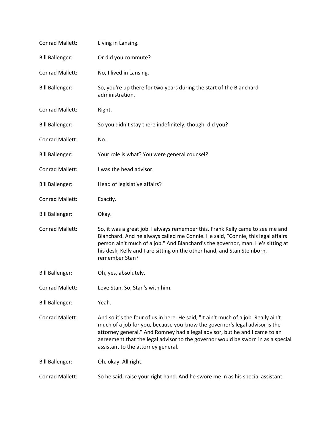| Conrad Mallett:        | Living in Lansing.                                                                                                                                                                                                                                                                                                                                                       |
|------------------------|--------------------------------------------------------------------------------------------------------------------------------------------------------------------------------------------------------------------------------------------------------------------------------------------------------------------------------------------------------------------------|
| <b>Bill Ballenger:</b> | Or did you commute?                                                                                                                                                                                                                                                                                                                                                      |
| <b>Conrad Mallett:</b> | No, I lived in Lansing.                                                                                                                                                                                                                                                                                                                                                  |
| <b>Bill Ballenger:</b> | So, you're up there for two years during the start of the Blanchard<br>administration.                                                                                                                                                                                                                                                                                   |
| Conrad Mallett:        | Right.                                                                                                                                                                                                                                                                                                                                                                   |
| <b>Bill Ballenger:</b> | So you didn't stay there indefinitely, though, did you?                                                                                                                                                                                                                                                                                                                  |
| Conrad Mallett:        | No.                                                                                                                                                                                                                                                                                                                                                                      |
| <b>Bill Ballenger:</b> | Your role is what? You were general counsel?                                                                                                                                                                                                                                                                                                                             |
| <b>Conrad Mallett:</b> | I was the head advisor.                                                                                                                                                                                                                                                                                                                                                  |
| <b>Bill Ballenger:</b> | Head of legislative affairs?                                                                                                                                                                                                                                                                                                                                             |
| Conrad Mallett:        | Exactly.                                                                                                                                                                                                                                                                                                                                                                 |
| <b>Bill Ballenger:</b> | Okay.                                                                                                                                                                                                                                                                                                                                                                    |
| Conrad Mallett:        | So, it was a great job. I always remember this. Frank Kelly came to see me and<br>Blanchard. And he always called me Connie. He said, "Connie, this legal affairs<br>person ain't much of a job." And Blanchard's the governor, man. He's sitting at<br>his desk, Kelly and I are sitting on the other hand, and Stan Steinborn,<br>remember Stan?                       |
| <b>Bill Ballenger:</b> | Oh, yes, absolutely.                                                                                                                                                                                                                                                                                                                                                     |
| Conrad Mallett:        | Love Stan. So, Stan's with him.                                                                                                                                                                                                                                                                                                                                          |
| <b>Bill Ballenger:</b> | Yeah.                                                                                                                                                                                                                                                                                                                                                                    |
| <b>Conrad Mallett:</b> | And so it's the four of us in here. He said, "It ain't much of a job. Really ain't<br>much of a job for you, because you know the governor's legal advisor is the<br>attorney general." And Romney had a legal advisor, but he and I came to an<br>agreement that the legal advisor to the governor would be sworn in as a special<br>assistant to the attorney general. |
| <b>Bill Ballenger:</b> | Oh, okay. All right.                                                                                                                                                                                                                                                                                                                                                     |
| Conrad Mallett:        | So he said, raise your right hand. And he swore me in as his special assistant.                                                                                                                                                                                                                                                                                          |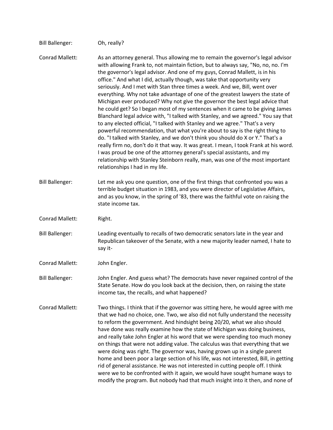| <b>Bill Ballenger:</b> | Oh, really?                                                                                                                                                                                                                                                                                                                                                                                                                                                                                                                                                                                                                                                                                                                                                                                                                                                                                                                                                                                                                                                                                                                                                                                                                                                                                      |
|------------------------|--------------------------------------------------------------------------------------------------------------------------------------------------------------------------------------------------------------------------------------------------------------------------------------------------------------------------------------------------------------------------------------------------------------------------------------------------------------------------------------------------------------------------------------------------------------------------------------------------------------------------------------------------------------------------------------------------------------------------------------------------------------------------------------------------------------------------------------------------------------------------------------------------------------------------------------------------------------------------------------------------------------------------------------------------------------------------------------------------------------------------------------------------------------------------------------------------------------------------------------------------------------------------------------------------|
| <b>Conrad Mallett:</b> | As an attorney general. Thus allowing me to remain the governor's legal advisor<br>with allowing Frank to, not maintain fiction, but to always say, "No, no, no. I'm<br>the governor's legal advisor. And one of my guys, Conrad Mallett, is in his<br>office." And what I did, actually though, was take that opportunity very<br>seriously. And I met with Stan three times a week. And we, Bill, went over<br>everything. Why not take advantage of one of the greatest lawyers the state of<br>Michigan ever produced? Why not give the governor the best legal advice that<br>he could get? So I began most of my sentences when it came to be giving James<br>Blanchard legal advice with, "I talked with Stanley, and we agreed." You say that<br>to any elected official, "I talked with Stanley and we agree." That's a very<br>powerful recommendation, that what you're about to say is the right thing to<br>do. "I talked with Stanley, and we don't think you should do X or Y." That's a<br>really firm no, don't do it that way. It was great. I mean, I took Frank at his word.<br>I was proud be one of the attorney general's special assistants, and my<br>relationship with Stanley Steinborn really, man, was one of the most important<br>relationships I had in my life. |
| <b>Bill Ballenger:</b> | Let me ask you one question, one of the first things that confronted you was a<br>terrible budget situation in 1983, and you were director of Legislative Affairs,<br>and as you know, in the spring of '83, there was the faithful vote on raising the<br>state income tax.                                                                                                                                                                                                                                                                                                                                                                                                                                                                                                                                                                                                                                                                                                                                                                                                                                                                                                                                                                                                                     |
| Conrad Mallett:        | Right.                                                                                                                                                                                                                                                                                                                                                                                                                                                                                                                                                                                                                                                                                                                                                                                                                                                                                                                                                                                                                                                                                                                                                                                                                                                                                           |
| <b>Bill Ballenger:</b> | Leading eventually to recalls of two democratic senators late in the year and<br>Republican takeover of the Senate, with a new majority leader named, I hate to<br>say it-                                                                                                                                                                                                                                                                                                                                                                                                                                                                                                                                                                                                                                                                                                                                                                                                                                                                                                                                                                                                                                                                                                                       |
| Conrad Mallett:        | John Engler.                                                                                                                                                                                                                                                                                                                                                                                                                                                                                                                                                                                                                                                                                                                                                                                                                                                                                                                                                                                                                                                                                                                                                                                                                                                                                     |
| <b>Bill Ballenger:</b> | John Engler. And guess what? The democrats have never regained control of the<br>State Senate. How do you look back at the decision, then, on raising the state<br>income tax, the recalls, and what happened?                                                                                                                                                                                                                                                                                                                                                                                                                                                                                                                                                                                                                                                                                                                                                                                                                                                                                                                                                                                                                                                                                   |
| Conrad Mallett:        | Two things. I think that if the governor was sitting here, he would agree with me<br>that we had no choice, one. Two, we also did not fully understand the necessity<br>to reform the government. And hindsight being 20/20, what we also should<br>have done was really examine how the state of Michigan was doing business,<br>and really take John Engler at his word that we were spending too much money<br>on things that were not adding value. The calculus was that everything that we<br>were doing was right. The governor was, having grown up in a single parent<br>home and been poor a large section of his life, was not interested, Bill, in getting<br>rid of general assistance. He was not interested in cutting people off. I think<br>were we to be confronted with it again, we would have sought humane ways to<br>modify the program. But nobody had that much insight into it then, and none of                                                                                                                                                                                                                                                                                                                                                                       |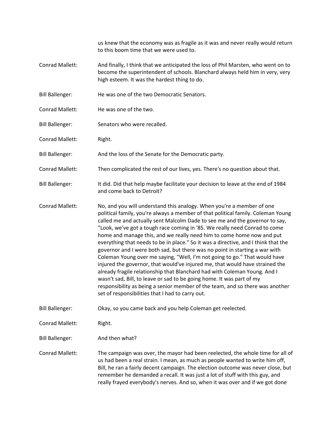us knew that the economy was as fragile as it was and never really would return to this boom time that we were used to.

- Conrad Mallett: And finally, I think that we anticipated the loss of Phil Marsten, who went on to become the superintendent of schools. Blanchard always held him in very, very high esteem. It was the hardest thing to do.
- Bill Ballenger: He was one of the two Democratic Senators.
- Conrad Mallett: He was one of the two.
- Bill Ballenger: Senators who were recalled.
- Conrad Mallett: Right.
- Bill Ballenger: And the loss of the Senate for the Democratic party.
- Conrad Mallett: Then complicated the rest of our lives, yes. There's no question about that.
- Bill Ballenger: It did. Did that help maybe facilitate your decision to leave at the end of 1984 and come back to Detroit?
- Conrad Mallett: No, and you will understand this analogy. When you're a member of one political family, you're always a member of that political family. Coleman Young called me and actually sent Malcolm Dade to see me and the governor to say, "Look, we've got a tough race coming in '85. We really need Conrad to come home and manage this, and we really need him to come home now and put everything that needs to be in place." So it was a directive, and I think that the governor and I were both sad, but there was no point in starting a war with Coleman Young over me saying, "Well, I'm not going to go." That would have injured the governor, that would've injured me, that would have strained the already fragile relationship that Blanchard had with Coleman Young. And I wasn't sad, Bill, to leave or sad to be going home. It was part of my responsibility as being a senior member of the team, and so there was another set of responsibilities that I had to carry out.

Bill Ballenger: Okay, so you came back and you help Coleman get reelected.

Conrad Mallett: Right.

Bill Ballenger: And then what?

Conrad Mallett: The campaign was over, the mayor had been reelected, the whole time for all of us had been a real strain. I mean, as much as people wanted to write him off, Bill, he ran a fairly decent campaign. The election outcome was never close, but remember he demanded a recall. It was just a lot of stuff with this guy, and really frayed everybody's nerves. And so, when it was over and if we got done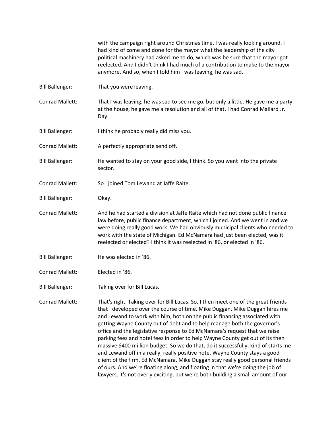with the campaign right around Christmas time, I was really looking around. I had kind of come and done for the mayor what the leadership of the city political machinery had asked me to do, which was be sure that the mayor got reelected. And I didn't think I had much of a contribution to make to the mayor anymore. And so, when I told him I was leaving, he was sad.

- Bill Ballenger: That you were leaving.
- Conrad Mallett: That I was leaving, he was sad to see me go, but only a little. He gave me a party at the house, he gave me a resolution and all of that. I had Conrad Mallard Jr. Day.
- Bill Ballenger: I think he probably really did miss you.
- Conrad Mallett: A perfectly appropriate send off.
- Bill Ballenger: He wanted to stay on your good side, I think. So you went into the private sector.
- Conrad Mallett: So I joined Tom Lewand at Jaffe Raite.
- Bill Ballenger: Okay.
- Conrad Mallett: And he had started a division at Jaffe Raite which had not done public finance law before, public finance department, which I joined. And we went in and we were doing really good work. We had obviously municipal clients who needed to work with the state of Michigan. Ed McNamara had just been elected, was it reelected or elected? I think it was reelected in '86, or elected in '86.
- Bill Ballenger: He was elected in '86.
- Conrad Mallett: Elected in '86.
- Bill Ballenger: Taking over for Bill Lucas.
- Conrad Mallett: That's right. Taking over for Bill Lucas. So, I then meet one of the great friends that I developed over the course of time, Mike Duggan. Mike Duggan hires me and Lewand to work with him, both on the public financing associated with getting Wayne County out of debt and to help manage both the governor's office and the legislative response to Ed McNamara's request that we raise parking fees and hotel fees in order to help Wayne County get out of its then massive \$400 million budget. So we do that, do it successfully, kind of starts me and Lewand off in a really, really positive note. Wayne County stays a good client of the firm. Ed McNamara, Mike Duggan stay really good personal friends of ours. And we're floating along, and floating in that we're doing the job of lawyers, it's not overly exciting, but we're both building a small amount of our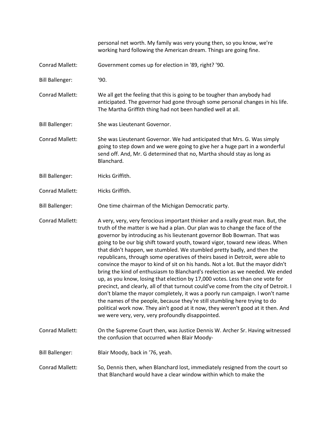personal net worth. My family was very young then, so you know, we're working hard following the American dream. Things are going fine. Conrad Mallett: Government comes up for election in '89, right? '90. Bill Ballenger: '90. Conrad Mallett: We all get the feeling that this is going to be tougher than anybody had anticipated. The governor had gone through some personal changes in his life. The Martha Griffith thing had not been handled well at all. Bill Ballenger: She was Lieutenant Governor. Conrad Mallett: She was Lieutenant Governor. We had anticipated that Mrs. G. Was simply going to step down and we were going to give her a huge part in a wonderful send off. And, Mr. G determined that no, Martha should stay as long as Blanchard. Bill Ballenger: Hicks Griffith. Conrad Mallett: Hicks Griffith. Bill Ballenger: One time chairman of the Michigan Democratic party. Conrad Mallett: A very, very, very ferocious important thinker and a really great man. But, the truth of the matter is we had a plan. Our plan was to change the face of the governor by introducing as his lieutenant governor Bob Bowman. That was going to be our big shift toward youth, toward vigor, toward new ideas. When that didn't happen, we stumbled. We stumbled pretty badly, and then the republicans, through some operatives of theirs based in Detroit, were able to convince the mayor to kind of sit on his hands. Not a lot. But the mayor didn't bring the kind of enthusiasm to Blanchard's reelection as we needed. We ended up, as you know, losing that election by 17,000 votes. Less than one vote for precinct, and clearly, all of that turnout could've come from the city of Detroit. I don't blame the mayor completely, it was a poorly run campaign. I won't name the names of the people, because they're still stumbling here trying to do political work now. They ain't good at it now, they weren't good at it then. And we were very, very, very profoundly disappointed. Conrad Mallett: On the Supreme Court then, was Justice Dennis W. Archer Sr. Having witnessed the confusion that occurred when Blair Moody-Bill Ballenger: Blair Moody, back in '76, yeah. Conrad Mallett: So, Dennis then, when Blanchard lost, immediately resigned from the court so that Blanchard would have a clear window within which to make the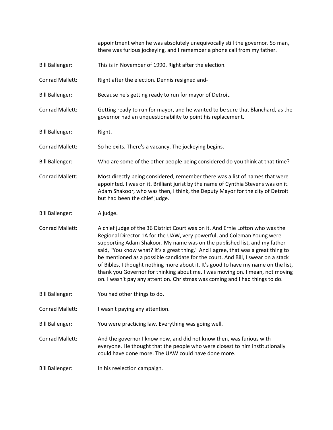appointment when he was absolutely unequivocally still the governor. So man, there was furious jockeying, and I remember a phone call from my father.

- Bill Ballenger: This is in November of 1990. Right after the election.
- Conrad Mallett: Right after the election. Dennis resigned and-
- Bill Ballenger: Because he's getting ready to run for mayor of Detroit.
- Conrad Mallett: Getting ready to run for mayor, and he wanted to be sure that Blanchard, as the governor had an unquestionability to point his replacement.
- Bill Ballenger: Right.
- Conrad Mallett: So he exits. There's a vacancy. The jockeying begins.
- Bill Ballenger: Who are some of the other people being considered do you think at that time?
- Conrad Mallett: Most directly being considered, remember there was a list of names that were appointed. I was on it. Brilliant jurist by the name of Cynthia Stevens was on it. Adam Shakoor, who was then, I think, the Deputy Mayor for the city of Detroit but had been the chief judge.
- Bill Ballenger: A judge.
- Conrad Mallett: A chief judge of the 36 District Court was on it. And Ernie Lofton who was the Regional Director 1A for the UAW, very powerful, and Coleman Young were supporting Adam Shakoor. My name was on the published list, and my father said, "You know what? It's a great thing." And I agree, that was a great thing to be mentioned as a possible candidate for the court. And Bill, I swear on a stack of Bibles, I thought nothing more about it. It's good to have my name on the list, thank you Governor for thinking about me. I was moving on. I mean, not moving on. I wasn't pay any attention. Christmas was coming and I had things to do.
- Bill Ballenger: You had other things to do.
- Conrad Mallett: I wasn't paying any attention.
- Bill Ballenger: You were practicing law. Everything was going well.
- Conrad Mallett: And the governor I know now, and did not know then, was furious with everyone. He thought that the people who were closest to him institutionally could have done more. The UAW could have done more.
- Bill Ballenger: In his reelection campaign.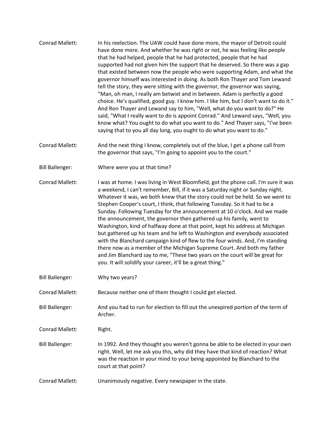- Conrad Mallett: In his reelection. The UAW could have done more, the mayor of Detroit could have done more. And whether he was right or not, he was feeling like people that he had helped, people that he had protected, people that he had supported had not given him the support that he deserved. So there was a gap that existed between now the people who were supporting Adam, and what the governor himself was interested in doing. As both Ron Thayer and Tom Lewand tell the story, they were sitting with the governor, the governor was saying, "Man, oh man, I really am betwixt and in between. Adam is perfectly a good choice. He's qualified, good guy. I know him. I like him, but I don't want to do it." And Ron Thayer and Lewand say to him, "Well, what do you want to do?" He said, "What I really want to do is appoint Conrad." And Lewand says, "Well, you know what? You ought to do what you want to do." And Thayer says, "I've been saying that to you all day long, you ought to do what you want to do."
- Conrad Mallett: And the next thing I know, completely out of the blue, I get a phone call from the governor that says, "I'm going to appoint you to the court."
- Bill Ballenger: Where were you at that time?

Conrad Mallett: I was at home. I was living in West Bloomfield, got the phone call. I'm sure it was a weekend, I can't remember, Bill, if it was a Saturday night or Sunday night. Whatever it was, we both knew that the story could not be held. So we went to Stephen Cooper's court, I think, that following Tuesday. So it had to be a Sunday. Following Tuesday for the announcement at 10 o'clock. And we made the announcement, the governor then gathered up his family, went to Washington, kind of halfway done at that point, kept his address at Michigan but gathered up his team and he left to Washington and everybody associated with the Blanchard campaign kind of flew to the four winds. And, I'm standing there now as a member of the Michigan Supreme Court. And both my father and Jim Blanchard say to me, "These two years on the court will be great for you. It will solidify your career, it'll be a great thing."

Bill Ballenger: Why two years?

Conrad Mallett: Because neither one of them thought I could get elected.

Bill Ballenger: And you had to run for election to fill out the unexpired portion of the term of Archer.

Conrad Mallett: Right.

- Bill Ballenger: In 1992. And they thought you weren't gonna be able to be elected in your own right. Well, let me ask you this, why did they have that kind of reaction? What was the reaction in your mind to your being appointed by Blanchard to the court at that point?
- Conrad Mallett: Unanimously negative. Every newspaper in the state.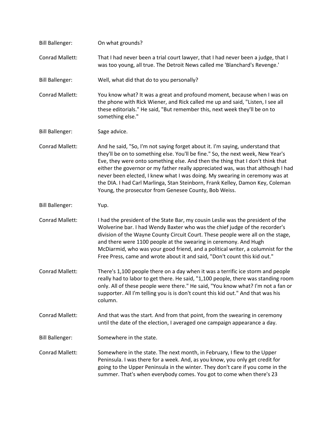| <b>Bill Ballenger:</b> | On what grounds?                                                                                                                                                                                                                                                                                                                                                                                                                                                                                                                                                 |
|------------------------|------------------------------------------------------------------------------------------------------------------------------------------------------------------------------------------------------------------------------------------------------------------------------------------------------------------------------------------------------------------------------------------------------------------------------------------------------------------------------------------------------------------------------------------------------------------|
| Conrad Mallett:        | That I had never been a trial court lawyer, that I had never been a judge, that I<br>was too young, all true. The Detroit News called me 'Blanchard's Revenge.'                                                                                                                                                                                                                                                                                                                                                                                                  |
| <b>Bill Ballenger:</b> | Well, what did that do to you personally?                                                                                                                                                                                                                                                                                                                                                                                                                                                                                                                        |
| Conrad Mallett:        | You know what? It was a great and profound moment, because when I was on<br>the phone with Rick Wiener, and Rick called me up and said, "Listen, I see all<br>these editorials." He said, "But remember this, next week they'll be on to<br>something else."                                                                                                                                                                                                                                                                                                     |
| <b>Bill Ballenger:</b> | Sage advice.                                                                                                                                                                                                                                                                                                                                                                                                                                                                                                                                                     |
| Conrad Mallett:        | And he said, "So, I'm not saying forget about it. I'm saying, understand that<br>they'll be on to something else. You'll be fine." So, the next week, New Year's<br>Eve, they were onto something else. And then the thing that I don't think that<br>either the governor or my father really appreciated was, was that although I had<br>never been elected, I knew what I was doing. My swearing in ceremony was at<br>the DIA. I had Carl Marlinga, Stan Steinborn, Frank Kelley, Damon Key, Coleman<br>Young, the prosecutor from Genesee County, Bob Weiss. |
| <b>Bill Ballenger:</b> | Yup.                                                                                                                                                                                                                                                                                                                                                                                                                                                                                                                                                             |
| Conrad Mallett:        | I had the president of the State Bar, my cousin Leslie was the president of the<br>Wolverine bar. I had Wendy Baxter who was the chief judge of the recorder's<br>division of the Wayne County Circuit Court. These people were all on the stage,<br>and there were 1100 people at the swearing in ceremony. And Hugh<br>McDiarmid, who was your good friend, and a political writer, a columnist for the<br>Free Press, came and wrote about it and said, "Don't count this kid out."                                                                           |
| <b>Conrad Mallett:</b> | There's 1,100 people there on a day when it was a terrific ice storm and people<br>really had to labor to get there. He said, "1,100 people, there was standing room<br>only. All of these people were there." He said, "You know what? I'm not a fan or<br>supporter. All I'm telling you is is don't count this kid out." And that was his<br>column.                                                                                                                                                                                                          |
| <b>Conrad Mallett:</b> | And that was the start. And from that point, from the swearing in ceremony<br>until the date of the election, I averaged one campaign appearance a day.                                                                                                                                                                                                                                                                                                                                                                                                          |
| <b>Bill Ballenger:</b> | Somewhere in the state.                                                                                                                                                                                                                                                                                                                                                                                                                                                                                                                                          |
| Conrad Mallett:        | Somewhere in the state. The next month, in February, I flew to the Upper<br>Peninsula. I was there for a week. And, as you know, you only get credit for<br>going to the Upper Peninsula in the winter. They don't care if you come in the<br>summer. That's when everybody comes. You got to come when there's 23                                                                                                                                                                                                                                               |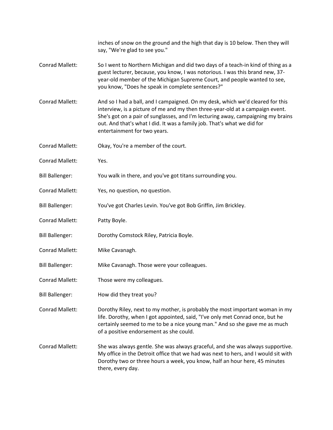|                        | inches of snow on the ground and the high that day is 10 below. Then they will<br>say, "We're glad to see you."                                                                                                                                                                                                                                                |
|------------------------|----------------------------------------------------------------------------------------------------------------------------------------------------------------------------------------------------------------------------------------------------------------------------------------------------------------------------------------------------------------|
| <b>Conrad Mallett:</b> | So I went to Northern Michigan and did two days of a teach-in kind of thing as a<br>guest lecturer, because, you know, I was notorious. I was this brand new, 37-<br>year-old member of the Michigan Supreme Court, and people wanted to see,<br>you know, "Does he speak in complete sentences?"                                                              |
| Conrad Mallett:        | And so I had a ball, and I campaigned. On my desk, which we'd cleared for this<br>interview, is a picture of me and my then three-year-old at a campaign event.<br>She's got on a pair of sunglasses, and I'm lecturing away, campaigning my brains<br>out. And that's what I did. It was a family job. That's what we did for<br>entertainment for two years. |
| Conrad Mallett:        | Okay, You're a member of the court.                                                                                                                                                                                                                                                                                                                            |
| Conrad Mallett:        | Yes.                                                                                                                                                                                                                                                                                                                                                           |
| <b>Bill Ballenger:</b> | You walk in there, and you've got titans surrounding you.                                                                                                                                                                                                                                                                                                      |
| <b>Conrad Mallett:</b> | Yes, no question, no question.                                                                                                                                                                                                                                                                                                                                 |
| <b>Bill Ballenger:</b> | You've got Charles Levin. You've got Bob Griffin, Jim Brickley.                                                                                                                                                                                                                                                                                                |
| Conrad Mallett:        | Patty Boyle.                                                                                                                                                                                                                                                                                                                                                   |
| <b>Bill Ballenger:</b> | Dorothy Comstock Riley, Patricia Boyle.                                                                                                                                                                                                                                                                                                                        |
| Conrad Mallett:        | Mike Cavanagh.                                                                                                                                                                                                                                                                                                                                                 |
| <b>Bill Ballenger:</b> | Mike Cavanagh. Those were your colleagues.                                                                                                                                                                                                                                                                                                                     |
| Conrad Mallett:        | Those were my colleagues.                                                                                                                                                                                                                                                                                                                                      |
| <b>Bill Ballenger:</b> | How did they treat you?                                                                                                                                                                                                                                                                                                                                        |
| Conrad Mallett:        | Dorothy Riley, next to my mother, is probably the most important woman in my<br>life. Dorothy, when I got appointed, said, "I've only met Conrad once, but he<br>certainly seemed to me to be a nice young man." And so she gave me as much<br>of a positive endorsement as she could.                                                                         |
| Conrad Mallett:        | She was always gentle. She was always graceful, and she was always supportive.<br>My office in the Detroit office that we had was next to hers, and I would sit with<br>Dorothy two or three hours a week, you know, half an hour here, 45 minutes<br>there, every day.                                                                                        |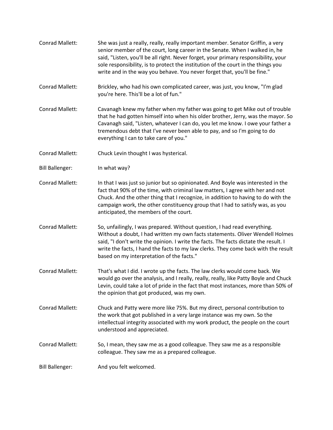- Conrad Mallett: She was just a really, really, really important member. Senator Griffin, a very senior member of the court, long career in the Senate. When I walked in, he said, "Listen, you'll be all right. Never forget, your primary responsibility, your sole responsibility, is to protect the institution of the court in the things you write and in the way you behave. You never forget that, you'll be fine."
- Conrad Mallett: Brickley, who had his own complicated career, was just, you know, "I'm glad you're here. This'll be a lot of fun."
- Conrad Mallett: Cavanagh knew my father when my father was going to get Mike out of trouble that he had gotten himself into when his older brother, Jerry, was the mayor. So Cavanagh said, "Listen, whatever I can do, you let me know. I owe your father a tremendous debt that I've never been able to pay, and so I'm going to do everything I can to take care of you."
- Conrad Mallett: Chuck Levin thought I was hysterical.
- Bill Ballenger: In what way?
- Conrad Mallett: In that I was just so junior but so opinionated. And Boyle was interested in the fact that 90% of the time, with criminal law matters, I agree with her and not Chuck. And the other thing that I recognize, in addition to having to do with the campaign work, the other constituency group that I had to satisfy was, as you anticipated, the members of the court.
- Conrad Mallett: So, unfailingly, I was prepared. Without question, I had read everything. Without a doubt, I had written my own facts statements. Oliver Wendell Holmes said, "I don't write the opinion. I write the facts. The facts dictate the result. I write the facts, I hand the facts to my law clerks. They come back with the result based on my interpretation of the facts."
- Conrad Mallett: That's what I did. I wrote up the facts. The law clerks would come back. We would go over the analysis, and I really, really, really, like Patty Boyle and Chuck Levin, could take a lot of pride in the fact that most instances, more than 50% of the opinion that got produced, was my own.
- Conrad Mallett: Chuck and Patty were more like 75%. But my direct, personal contribution to the work that got published in a very large instance was my own. So the intellectual integrity associated with my work product, the people on the court understood and appreciated.
- Conrad Mallett: So, I mean, they saw me as a good colleague. They saw me as a responsible colleague. They saw me as a prepared colleague.
- Bill Ballenger: And you felt welcomed.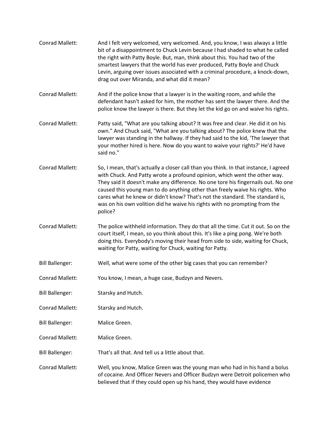| Conrad Mallett:        | And I felt very welcomed, very welcomed. And, you know, I was always a little<br>bit of a disappointment to Chuck Levin because I had shaded to what he called<br>the right with Patty Boyle. But, man, think about this. You had two of the<br>smartest lawyers that the world has ever produced, Patty Boyle and Chuck<br>Levin, arguing over issues associated with a criminal procedure, a knock-down,<br>drag out over Miranda, and what did it mean?                                                      |
|------------------------|-----------------------------------------------------------------------------------------------------------------------------------------------------------------------------------------------------------------------------------------------------------------------------------------------------------------------------------------------------------------------------------------------------------------------------------------------------------------------------------------------------------------|
| Conrad Mallett:        | And if the police know that a lawyer is in the waiting room, and while the<br>defendant hasn't asked for him, the mother has sent the lawyer there. And the<br>police know the lawyer is there. But they let the kid go on and waive his rights.                                                                                                                                                                                                                                                                |
| Conrad Mallett:        | Patty said, "What are you talking about? It was free and clear. He did it on his<br>own." And Chuck said, "What are you talking about? The police knew that the<br>lawyer was standing in the hallway. If they had said to the kid, 'The lawyer that<br>your mother hired is here. Now do you want to waive your rights?' He'd have<br>said no."                                                                                                                                                                |
| <b>Conrad Mallett:</b> | So, I mean, that's actually a closer call than you think. In that instance, I agreed<br>with Chuck. And Patty wrote a profound opinion, which went the other way.<br>They said it doesn't make any difference. No one tore his fingernails out. No one<br>caused this young man to do anything other than freely waive his rights. Who<br>cares what he knew or didn't know? That's not the standard. The standard is,<br>was on his own volition did he waive his rights with no prompting from the<br>police? |
| Conrad Mallett:        | The police withheld information. They do that all the time. Cut it out. So on the<br>court itself, I mean, so you think about this. It's like a ping pong. We're both<br>doing this. Everybody's moving their head from side to side, waiting for Chuck,<br>waiting for Patty, waiting for Chuck, waiting for Patty.                                                                                                                                                                                            |
| <b>Bill Ballenger:</b> | Well, what were some of the other big cases that you can remember?                                                                                                                                                                                                                                                                                                                                                                                                                                              |
| <b>Conrad Mallett:</b> | You know, I mean, a huge case, Budzyn and Nevers.                                                                                                                                                                                                                                                                                                                                                                                                                                                               |
| <b>Bill Ballenger:</b> | Starsky and Hutch.                                                                                                                                                                                                                                                                                                                                                                                                                                                                                              |
| <b>Conrad Mallett:</b> | Starsky and Hutch.                                                                                                                                                                                                                                                                                                                                                                                                                                                                                              |
| <b>Bill Ballenger:</b> | Malice Green.                                                                                                                                                                                                                                                                                                                                                                                                                                                                                                   |
| Conrad Mallett:        | Malice Green.                                                                                                                                                                                                                                                                                                                                                                                                                                                                                                   |
| <b>Bill Ballenger:</b> | That's all that. And tell us a little about that.                                                                                                                                                                                                                                                                                                                                                                                                                                                               |
| Conrad Mallett:        | Well, you know, Malice Green was the young man who had in his hand a bolus<br>of cocaine. And Officer Nevers and Officer Budzyn were Detroit policemen who<br>believed that if they could open up his hand, they would have evidence                                                                                                                                                                                                                                                                            |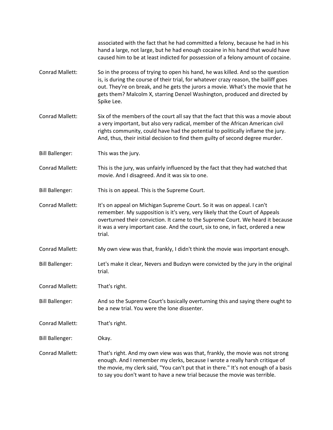|                        | associated with the fact that he had committed a felony, because he had in his<br>hand a large, not large, but he had enough cocaine in his hand that would have<br>caused him to be at least indicted for possession of a felony amount of cocaine.                                                                                                    |
|------------------------|---------------------------------------------------------------------------------------------------------------------------------------------------------------------------------------------------------------------------------------------------------------------------------------------------------------------------------------------------------|
| Conrad Mallett:        | So in the process of trying to open his hand, he was killed. And so the question<br>is, is during the course of their trial, for whatever crazy reason, the bailiff goes<br>out. They're on break, and he gets the jurors a movie. What's the movie that he<br>gets them? Malcolm X, starring Denzel Washington, produced and directed by<br>Spike Lee. |
| <b>Conrad Mallett:</b> | Six of the members of the court all say that the fact that this was a movie about<br>a very important, but also very radical, member of the African American civil<br>rights community, could have had the potential to politically inflame the jury.<br>And, thus, their initial decision to find them guilty of second degree murder.                 |
| <b>Bill Ballenger:</b> | This was the jury.                                                                                                                                                                                                                                                                                                                                      |
| Conrad Mallett:        | This is the jury, was unfairly influenced by the fact that they had watched that<br>movie. And I disagreed. And it was six to one.                                                                                                                                                                                                                      |
| <b>Bill Ballenger:</b> | This is on appeal. This is the Supreme Court.                                                                                                                                                                                                                                                                                                           |
| Conrad Mallett:        | It's on appeal on Michigan Supreme Court. So it was on appeal. I can't<br>remember. My supposition is it's very, very likely that the Court of Appeals<br>overturned their conviction. It came to the Supreme Court. We heard it because<br>it was a very important case. And the court, six to one, in fact, ordered a new<br>trial.                   |
| Conrad Mallett:        | My own view was that, frankly, I didn't think the movie was important enough.                                                                                                                                                                                                                                                                           |
| <b>Bill Ballenger:</b> | Let's make it clear, Nevers and Budzyn were convicted by the jury in the original<br>trial.                                                                                                                                                                                                                                                             |
| Conrad Mallett:        | That's right.                                                                                                                                                                                                                                                                                                                                           |
| <b>Bill Ballenger:</b> | And so the Supreme Court's basically overturning this and saying there ought to<br>be a new trial. You were the lone dissenter.                                                                                                                                                                                                                         |
| <b>Conrad Mallett:</b> | That's right.                                                                                                                                                                                                                                                                                                                                           |
| <b>Bill Ballenger:</b> | Okay.                                                                                                                                                                                                                                                                                                                                                   |
| Conrad Mallett:        | That's right. And my own view was was that, frankly, the movie was not strong<br>enough. And I remember my clerks, because I wrote a really harsh critique of<br>the movie, my clerk said, "You can't put that in there." It's not enough of a basis<br>to say you don't want to have a new trial because the movie was terrible.                       |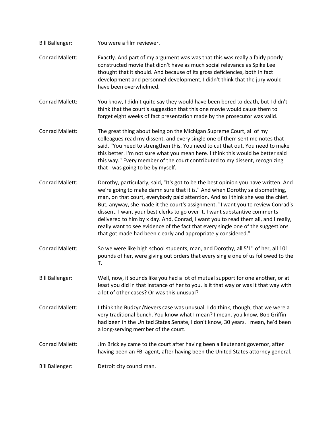Bill Ballenger: You were a film reviewer. Conrad Mallett: Exactly. And part of my argument was was that this was really a fairly poorly constructed movie that didn't have as much social relevance as Spike Lee thought that it should. And because of its gross deficiencies, both in fact development and personnel development, I didn't think that the jury would have been overwhelmed. Conrad Mallett: You know, I didn't quite say they would have been bored to death, but I didn't think that the court's suggestion that this one movie would cause them to forget eight weeks of fact presentation made by the prosecutor was valid. Conrad Mallett: The great thing about being on the Michigan Supreme Court, all of my colleagues read my dissent, and every single one of them sent me notes that said, "You need to strengthen this. You need to cut that out. You need to make this better. I'm not sure what you mean here. I think this would be better said this way." Every member of the court contributed to my dissent, recognizing that I was going to be by myself. Conrad Mallett: Dorothy, particularly, said, "It's got to be the best opinion you have written. And we're going to make damn sure that it is." And when Dorothy said something, man, on that court, everybody paid attention. And so I think she was the chief. But, anyway, she made it the court's assignment. "I want you to review Conrad's dissent. I want your best clerks to go over it. I want substantive comments delivered to him by x day. And, Conrad, I want you to read them all, and I really, really want to see evidence of the fact that every single one of the suggestions that got made had been clearly and appropriately considered." Conrad Mallett: So we were like high school students, man, and Dorothy, all 5'1" of her, all 101 pounds of her, were giving out orders that every single one of us followed to the T. Bill Ballenger: Well, now, it sounds like you had a lot of mutual support for one another, or at least you did in that instance of her to you. Is it that way or was it that way with a lot of other cases? Or was this unusual? Conrad Mallett: I think the Budzyn/Nevers case was unusual. I do think, though, that we were a very traditional bunch. You know what I mean? I mean, you know, Bob Griffin had been in the United States Senate, I don't know, 30 years. I mean, he'd been a long-serving member of the court. Conrad Mallett: Jim Brickley came to the court after having been a lieutenant governor, after having been an FBI agent, after having been the United States attorney general. Bill Ballenger: Detroit city councilman.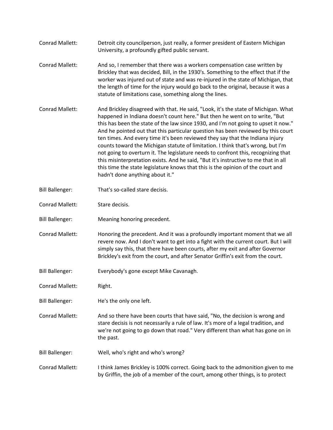- Conrad Mallett: Detroit city councilperson, just really, a former president of Eastern Michigan University, a profoundly gifted public servant.
- Conrad Mallett: And so, I remember that there was a workers compensation case written by Brickley that was decided, Bill, in the 1930's. Something to the effect that if the worker was injured out of state and was re-injured in the state of Michigan, that the length of time for the injury would go back to the original, because it was a statute of limitations case, something along the lines.
- Conrad Mallett: And Brickley disagreed with that. He said, "Look, it's the state of Michigan. What happened in Indiana doesn't count here." But then he went on to write, "But this has been the state of the law since 1930, and I'm not going to upset it now." And he pointed out that this particular question has been reviewed by this court ten times. And every time it's been reviewed they say that the Indiana injury counts toward the Michigan statute of limitation. I think that's wrong, but I'm not going to overturn it. The legislature needs to confront this, recognizing that this misinterpretation exists. And he said, "But it's instructive to me that in all this time the state legislature knows that this is the opinion of the court and hadn't done anything about it."
- Bill Ballenger: That's so-called stare decisis.
- Conrad Mallett: Stare decisis.
- Bill Ballenger: Meaning honoring precedent.
- Conrad Mallett: Honoring the precedent. And it was a profoundly important moment that we all revere now. And I don't want to get into a fight with the current court. But I will simply say this, that there have been courts, after my exit and after Governor Brickley's exit from the court, and after Senator Griffin's exit from the court.
- Bill Ballenger: Everybody's gone except Mike Cavanagh.
- Conrad Mallett: Right.
- Bill Ballenger: He's the only one left.
- Conrad Mallett: And so there have been courts that have said, "No, the decision is wrong and stare decisis is not necessarily a rule of law. It's more of a legal tradition, and we're not going to go down that road." Very different than what has gone on in the past.
- Bill Ballenger: Well, who's right and who's wrong?
- Conrad Mallett: I think James Brickley is 100% correct. Going back to the admonition given to me by Griffin, the job of a member of the court, among other things, is to protect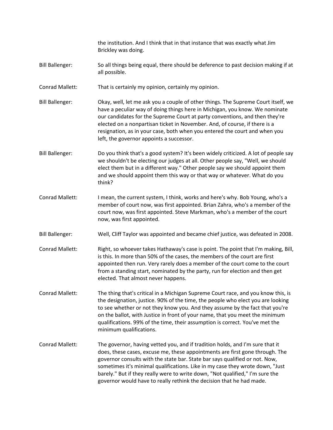the institution. And I think that in that instance that was exactly what Jim Brickley was doing.

- Bill Ballenger: So all things being equal, there should be deference to past decision making if at all possible.
- Conrad Mallett: That is certainly my opinion, certainly my opinion.
- Bill Ballenger: Okay, well, let me ask you a couple of other things. The Supreme Court itself, we have a peculiar way of doing things here in Michigan, you know. We nominate our candidates for the Supreme Court at party conventions, and then they're elected on a nonpartisan ticket in November. And, of course, if there is a resignation, as in your case, both when you entered the court and when you left, the governor appoints a successor.
- Bill Ballenger: Do you think that's a good system? It's been widely criticized. A lot of people say we shouldn't be electing our judges at all. Other people say, "Well, we should elect them but in a different way." Other people say we should appoint them and we should appoint them this way or that way or whatever. What do you think?
- Conrad Mallett: I mean, the current system, I think, works and here's why. Bob Young, who's a member of court now, was first appointed. Brian Zahra, who's a member of the court now, was first appointed. Steve Markman, who's a member of the court now, was first appointed.
- Bill Ballenger: Well, Cliff Taylor was appointed and became chief justice, was defeated in 2008.
- Conrad Mallett: Right, so whoever takes Hathaway's case is point. The point that I'm making, Bill, is this. In more than 50% of the cases, the members of the court are first appointed then run. Very rarely does a member of the court come to the court from a standing start, nominated by the party, run for election and then get elected. That almost never happens.
- Conrad Mallett: The thing that's critical in a Michigan Supreme Court race, and you know this, is the designation, justice. 90% of the time, the people who elect you are looking to see whether or not they know you. And they assume by the fact that you're on the ballot, with Justice in front of your name, that you meet the minimum qualifications. 99% of the time, their assumption is correct. You've met the minimum qualifications.
- Conrad Mallett: The governor, having vetted you, and if tradition holds, and I'm sure that it does, these cases, excuse me, these appointments are first gone through. The governor consults with the state bar. State bar says qualified or not. Now, sometimes it's minimal qualifications. Like in my case they wrote down, "Just barely." But if they really were to write down, "Not qualified," I'm sure the governor would have to really rethink the decision that he had made.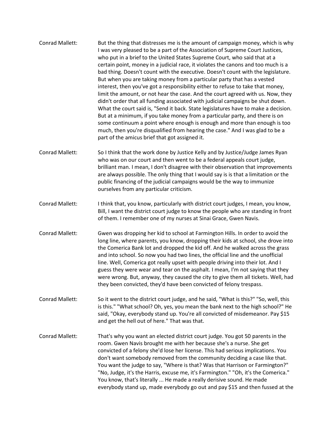- Conrad Mallett: But the thing that distresses me is the amount of campaign money, which is why I was very pleased to be a part of the Association of Supreme Court Justices, who put in a brief to the United States Supreme Court, who said that at a certain point, money in a judicial race, it violates the canons and too much is a bad thing. Doesn't count with the executive. Doesn't count with the legislature. But when you are taking money from a particular party that has a vested interest, then you've got a responsibility either to refuse to take that money, limit the amount, or not hear the case. And the court agreed with us. Now, they didn't order that all funding associated with judicial campaigns be shut down. What the court said is, "Send it back. State legislatures have to make a decision. But at a minimum, if you take money from a particular party, and there is on some continuum a point where enough is enough and more than enough is too much, then you're disqualified from hearing the case." And I was glad to be a part of the amicus brief that got assigned it.
- Conrad Mallett: So I think that the work done by Justice Kelly and by Justice/Judge James Ryan who was on our court and then went to be a federal appeals court judge, brilliant man. I mean, I don't disagree with their observation that improvements are always possible. The only thing that I would say is is that a limitation or the public financing of the judicial campaigns would be the way to immunize ourselves from any particular criticism.
- Conrad Mallett: I think that, you know, particularly with district court judges, I mean, you know, Bill, I want the district court judge to know the people who are standing in front of them. I remember one of my nurses at Sinai Grace, Gwen Navis.
- Conrad Mallett: Gwen was dropping her kid to school at Farmington Hills. In order to avoid the long line, where parents, you know, dropping their kids at school, she drove into the Comerica Bank lot and dropped the kid off. And he walked across the grass and into school. So now you had two lines, the official line and the unofficial line. Well, Comerica got really upset with people driving into their lot. And I guess they were wear and tear on the asphalt. I mean, I'm not saying that they were wrong. But, anyway, they caused the city to give them all tickets. Well, had they been convicted, they'd have been convicted of felony trespass.
- Conrad Mallett: So it went to the district court judge, and he said, "What is this?" "So, well, this is this." "What school? Oh, yes, you mean the bank next to the high school?" He said, "Okay, everybody stand up. You're all convicted of misdemeanor. Pay \$15 and get the hell out of here." That was that.
- Conrad Mallett: That's why you want an elected district court judge. You got 50 parents in the room. Gwen Navis brought me with her because she's a nurse. She get convicted of a felony she'd lose her license. This had serious implications. You don't want somebody removed from the community deciding a case like that. You want the judge to say, "Where is that? Was that Harrison or Farmington?" "No, Judge, it's the Harris, excuse me, it's Farmington." "Oh, it's the Comerica." You know, that's literally ... He made a really derisive sound. He made everybody stand up, made everybody go out and pay \$15 and then fussed at the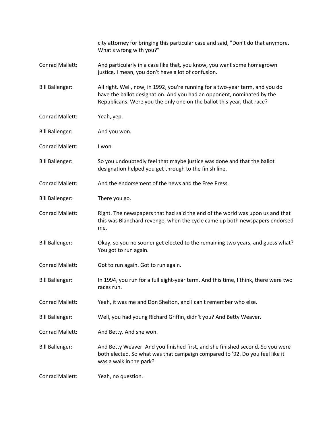|                        | city attorney for bringing this particular case and said, "Don't do that anymore.<br>What's wrong with you?"                                                                                                                      |
|------------------------|-----------------------------------------------------------------------------------------------------------------------------------------------------------------------------------------------------------------------------------|
| Conrad Mallett:        | And particularly in a case like that, you know, you want some homegrown<br>justice. I mean, you don't have a lot of confusion.                                                                                                    |
| <b>Bill Ballenger:</b> | All right. Well, now, in 1992, you're running for a two-year term, and you do<br>have the ballot designation. And you had an opponent, nominated by the<br>Republicans. Were you the only one on the ballot this year, that race? |
| Conrad Mallett:        | Yeah, yep.                                                                                                                                                                                                                        |
| <b>Bill Ballenger:</b> | And you won.                                                                                                                                                                                                                      |
| Conrad Mallett:        | I won.                                                                                                                                                                                                                            |
| <b>Bill Ballenger:</b> | So you undoubtedly feel that maybe justice was done and that the ballot<br>designation helped you get through to the finish line.                                                                                                 |
| Conrad Mallett:        | And the endorsement of the news and the Free Press.                                                                                                                                                                               |
| <b>Bill Ballenger:</b> | There you go.                                                                                                                                                                                                                     |
| Conrad Mallett:        | Right. The newspapers that had said the end of the world was upon us and that<br>this was Blanchard revenge, when the cycle came up both newspapers endorsed<br>me.                                                               |
| <b>Bill Ballenger:</b> | Okay, so you no sooner get elected to the remaining two years, and guess what?<br>You got to run again.                                                                                                                           |
| Conrad Mallett:        | Got to run again. Got to run again.                                                                                                                                                                                               |
| <b>Bill Ballenger:</b> | In 1994, you run for a full eight-year term. And this time, I think, there were two<br>races run.                                                                                                                                 |
| Conrad Mallett:        | Yeah, it was me and Don Shelton, and I can't remember who else.                                                                                                                                                                   |
| <b>Bill Ballenger:</b> | Well, you had young Richard Griffin, didn't you? And Betty Weaver.                                                                                                                                                                |
| Conrad Mallett:        | And Betty. And she won.                                                                                                                                                                                                           |
| <b>Bill Ballenger:</b> | And Betty Weaver. And you finished first, and she finished second. So you were<br>both elected. So what was that campaign compared to '92. Do you feel like it<br>was a walk in the park?                                         |
| Conrad Mallett:        | Yeah, no question.                                                                                                                                                                                                                |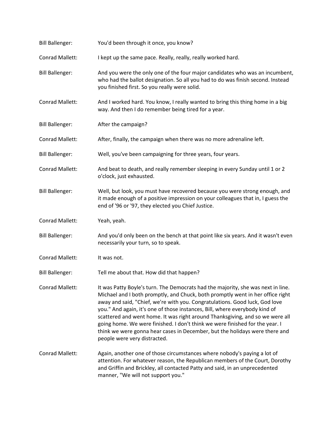| <b>Bill Ballenger:</b> | You'd been through it once, you know?                                                                                                                                                                                                                                                                                                                                                                                                                                                                                                                                                                            |
|------------------------|------------------------------------------------------------------------------------------------------------------------------------------------------------------------------------------------------------------------------------------------------------------------------------------------------------------------------------------------------------------------------------------------------------------------------------------------------------------------------------------------------------------------------------------------------------------------------------------------------------------|
| Conrad Mallett:        | I kept up the same pace. Really, really, really worked hard.                                                                                                                                                                                                                                                                                                                                                                                                                                                                                                                                                     |
| <b>Bill Ballenger:</b> | And you were the only one of the four major candidates who was an incumbent,<br>who had the ballot designation. So all you had to do was finish second. Instead<br>you finished first. So you really were solid.                                                                                                                                                                                                                                                                                                                                                                                                 |
| Conrad Mallett:        | And I worked hard. You know, I really wanted to bring this thing home in a big<br>way. And then I do remember being tired for a year.                                                                                                                                                                                                                                                                                                                                                                                                                                                                            |
| <b>Bill Ballenger:</b> | After the campaign?                                                                                                                                                                                                                                                                                                                                                                                                                                                                                                                                                                                              |
| Conrad Mallett:        | After, finally, the campaign when there was no more adrenaline left.                                                                                                                                                                                                                                                                                                                                                                                                                                                                                                                                             |
| <b>Bill Ballenger:</b> | Well, you've been campaigning for three years, four years.                                                                                                                                                                                                                                                                                                                                                                                                                                                                                                                                                       |
| Conrad Mallett:        | And beat to death, and really remember sleeping in every Sunday until 1 or 2<br>o'clock, just exhausted.                                                                                                                                                                                                                                                                                                                                                                                                                                                                                                         |
| <b>Bill Ballenger:</b> | Well, but look, you must have recovered because you were strong enough, and<br>it made enough of a positive impression on your colleagues that in, I guess the<br>end of '96 or '97, they elected you Chief Justice.                                                                                                                                                                                                                                                                                                                                                                                             |
| Conrad Mallett:        | Yeah, yeah.                                                                                                                                                                                                                                                                                                                                                                                                                                                                                                                                                                                                      |
| <b>Bill Ballenger:</b> | And you'd only been on the bench at that point like six years. And it wasn't even<br>necessarily your turn, so to speak.                                                                                                                                                                                                                                                                                                                                                                                                                                                                                         |
| Conrad Mallett:        | It was not.                                                                                                                                                                                                                                                                                                                                                                                                                                                                                                                                                                                                      |
| <b>Bill Ballenger:</b> | Tell me about that. How did that happen?                                                                                                                                                                                                                                                                                                                                                                                                                                                                                                                                                                         |
| <b>Conrad Mallett:</b> | It was Patty Boyle's turn. The Democrats had the majority, she was next in line.<br>Michael and I both promptly, and Chuck, both promptly went in her office right<br>away and said, "Chief, we're with you. Congratulations. Good luck, God love<br>you." And again, it's one of those instances, Bill, where everybody kind of<br>scattered and went home. It was right around Thanksgiving, and so we were all<br>going home. We were finished. I don't think we were finished for the year. I<br>think we were gonna hear cases in December, but the holidays were there and<br>people were very distracted. |
| <b>Conrad Mallett:</b> | Again, another one of those circumstances where nobody's paying a lot of<br>attention. For whatever reason, the Republican members of the Court, Dorothy<br>and Griffin and Brickley, all contacted Patty and said, in an unprecedented<br>manner, "We will not support you."                                                                                                                                                                                                                                                                                                                                    |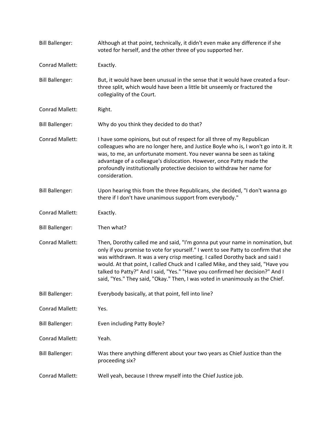| <b>Bill Ballenger:</b> | Although at that point, technically, it didn't even make any difference if she<br>voted for herself, and the other three of you supported her.                                                                                                                                                                                                                                                                                                                                                             |
|------------------------|------------------------------------------------------------------------------------------------------------------------------------------------------------------------------------------------------------------------------------------------------------------------------------------------------------------------------------------------------------------------------------------------------------------------------------------------------------------------------------------------------------|
| Conrad Mallett:        | Exactly.                                                                                                                                                                                                                                                                                                                                                                                                                                                                                                   |
| <b>Bill Ballenger:</b> | But, it would have been unusual in the sense that it would have created a four-<br>three split, which would have been a little bit unseemly or fractured the<br>collegiality of the Court.                                                                                                                                                                                                                                                                                                                 |
| Conrad Mallett:        | Right.                                                                                                                                                                                                                                                                                                                                                                                                                                                                                                     |
| <b>Bill Ballenger:</b> | Why do you think they decided to do that?                                                                                                                                                                                                                                                                                                                                                                                                                                                                  |
| Conrad Mallett:        | I have some opinions, but out of respect for all three of my Republican<br>colleagues who are no longer here, and Justice Boyle who is, I won't go into it. It<br>was, to me, an unfortunate moment. You never wanna be seen as taking<br>advantage of a colleague's dislocation. However, once Patty made the<br>profoundly institutionally protective decision to withdraw her name for<br>consideration.                                                                                                |
| <b>Bill Ballenger:</b> | Upon hearing this from the three Republicans, she decided, "I don't wanna go<br>there if I don't have unanimous support from everybody."                                                                                                                                                                                                                                                                                                                                                                   |
| Conrad Mallett:        | Exactly.                                                                                                                                                                                                                                                                                                                                                                                                                                                                                                   |
| <b>Bill Ballenger:</b> | Then what?                                                                                                                                                                                                                                                                                                                                                                                                                                                                                                 |
| Conrad Mallett:        | Then, Dorothy called me and said, "I'm gonna put your name in nomination, but<br>only if you promise to vote for yourself." I went to see Patty to confirm that she<br>was withdrawn. It was a very crisp meeting. I called Dorothy back and said I<br>would. At that point, I called Chuck and I called Mike, and they said, "Have you<br>talked to Patty?" And I said, "Yes." "Have you confirmed her decision?" And I<br>said, "Yes." They said, "Okay." Then, I was voted in unanimously as the Chief. |
| <b>Bill Ballenger:</b> | Everybody basically, at that point, fell into line?                                                                                                                                                                                                                                                                                                                                                                                                                                                        |
| Conrad Mallett:        | Yes.                                                                                                                                                                                                                                                                                                                                                                                                                                                                                                       |
| <b>Bill Ballenger:</b> | Even including Patty Boyle?                                                                                                                                                                                                                                                                                                                                                                                                                                                                                |
| Conrad Mallett:        | Yeah.                                                                                                                                                                                                                                                                                                                                                                                                                                                                                                      |
| <b>Bill Ballenger:</b> | Was there anything different about your two years as Chief Justice than the<br>proceeding six?                                                                                                                                                                                                                                                                                                                                                                                                             |
| Conrad Mallett:        | Well yeah, because I threw myself into the Chief Justice job.                                                                                                                                                                                                                                                                                                                                                                                                                                              |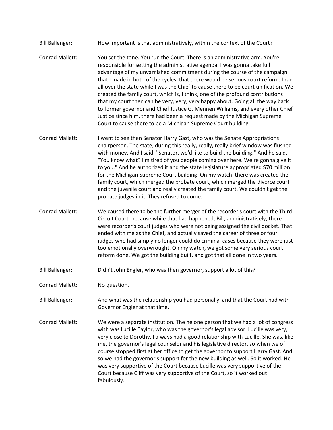- Bill Ballenger: How important is that administratively, within the context of the Court? Conrad Mallett: You set the tone. You run the Court. There is an administrative arm. You're responsible for setting the administrative agenda. I was gonna take full advantage of my unvarnished commitment during the course of the campaign that I made in both of the cycles, that there would be serious court reform. I ran all over the state while I was the Chief to cause there to be court unification. We created the family court, which is, I think, one of the profound contributions that my court then can be very, very, very happy about. Going all the way back to former governor and Chief Justice G. Mennen Williams, and every other Chief Justice since him, there had been a request made by the Michigan Supreme Court to cause there to be a Michigan Supreme Court building.
- Conrad Mallett: I went to see then Senator Harry Gast, who was the Senate Appropriations chairperson. The state, during this really, really, really brief window was flushed with money. And I said, "Senator, we'd like to build the building." And he said, "You know what? I'm tired of you people coming over here. We're gonna give it to you." And he authorized it and the state legislature appropriated \$70 million for the Michigan Supreme Court building. On my watch, there was created the family court, which merged the probate court, which merged the divorce court and the juvenile court and really created the family court. We couldn't get the probate judges in it. They refused to come.
- Conrad Mallett: We caused there to be the further merger of the recorder's court with the Third Circuit Court, because while that had happened, Bill, administratively, there were recorder's court judges who were not being assigned the civil docket. That ended with me as the Chief, and actually saved the career of three or four judges who had simply no longer could do criminal cases because they were just too emotionally overwrought. On my watch, we got some very serious court reform done. We got the building built, and got that all done in two years.
- Bill Ballenger: Didn't John Engler, who was then governor, support a lot of this?
- Conrad Mallett: No question.
- Bill Ballenger: And what was the relationship you had personally, and that the Court had with Governor Engler at that time.
- Conrad Mallett: We were a separate institution. The he one person that we had a lot of congress with was Lucille Taylor, who was the governor's legal advisor. Lucille was very, very close to Dorothy. I always had a good relationship with Lucille. She was, like me, the governor's legal counselor and his legislative director, so when we of course stopped first at her office to get the governor to support Harry Gast. And so we had the governor's support for the new building as well. So it worked. He was very supportive of the Court because Lucille was very supportive of the Court because Cliff was very supportive of the Court, so it worked out fabulously.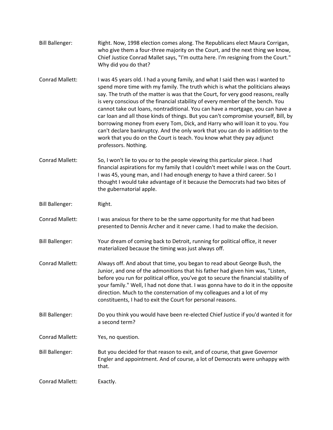| <b>Bill Ballenger:</b> | Right. Now, 1998 election comes along. The Republicans elect Maura Corrigan,      |
|------------------------|-----------------------------------------------------------------------------------|
|                        | who give them a four-three majority on the Court, and the next thing we know,     |
|                        | Chief Justice Conrad Mallet says, "I'm outta here. I'm resigning from the Court." |
|                        | Why did you do that?                                                              |

- Conrad Mallett: I was 45 years old. I had a young family, and what I said then was I wanted to spend more time with my family. The truth which is what the politicians always say. The truth of the matter is was that the Court, for very good reasons, really is very conscious of the financial stability of every member of the bench. You cannot take out loans, nontraditional. You can have a mortgage, you can have a car loan and all those kinds of things. But you can't compromise yourself, Bill, by borrowing money from every Tom, Dick, and Harry who will loan it to you. You can't declare bankruptcy. And the only work that you can do in addition to the work that you do on the Court is teach. You know what they pay adjunct professors. Nothing.
- Conrad Mallett: So, I won't lie to you or to the people viewing this particular piece. I had financial aspirations for my family that I couldn't meet while I was on the Court. I was 45, young man, and I had enough energy to have a third career. So I thought I would take advantage of it because the Democrats had two bites of the gubernatorial apple.
- Bill Ballenger: Right.
- Conrad Mallett: I was anxious for there to be the same opportunity for me that had been presented to Dennis Archer and it never came. I had to make the decision.
- Bill Ballenger: Your dream of coming back to Detroit, running for political office, it never materialized because the timing was just always off.
- Conrad Mallett: Always off. And about that time, you began to read about George Bush, the Junior, and one of the admonitions that his father had given him was, "Listen, before you run for political office, you've got to secure the financial stability of your family." Well, I had not done that. I was gonna have to do it in the opposite direction. Much to the consternation of my colleagues and a lot of my constituents, I had to exit the Court for personal reasons.
- Bill Ballenger: Do you think you would have been re-elected Chief Justice if you'd wanted it for a second term?
- Conrad Mallett: Yes, no question.
- Bill Ballenger: But you decided for that reason to exit, and of course, that gave Governor Engler and appointment. And of course, a lot of Democrats were unhappy with that.

Conrad Mallett: Exactly.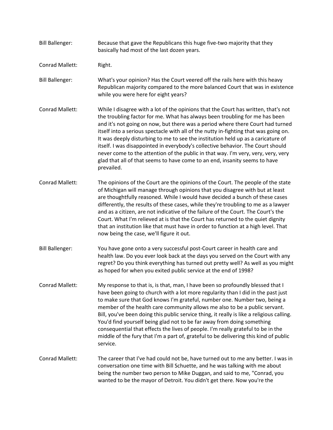- Bill Ballenger: Because that gave the Republicans this huge five-two majority that they basically had most of the last dozen years.
- Conrad Mallett: Right.

Bill Ballenger: What's your opinion? Has the Court veered off the rails here with this heavy Republican majority compared to the more balanced Court that was in existence while you were here for eight years?

- Conrad Mallett: While I disagree with a lot of the opinions that the Court has written, that's not the troubling factor for me. What has always been troubling for me has been and it's not going on now, but there was a period where there Court had turned itself into a serious spectacle with all of the nutty in-fighting that was going on. It was deeply disturbing to me to see the institution held up as a caricature of itself. I was disappointed in everybody's collective behavior. The Court should never come to the attention of the public in that way. I'm very, very, very, very glad that all of that seems to have come to an end, insanity seems to have prevailed.
- Conrad Mallett: The opinions of the Court are the opinions of the Court. The people of the state of Michigan will manage through opinions that you disagree with but at least are thoughtfully reasoned. While I would have decided a bunch of these cases differently, the results of these cases, while they're troubling to me as a lawyer and as a citizen, are not indicative of the failure of the Court. The Court's the Court. What I'm relieved at is that the Court has returned to the quiet dignity that an institution like that must have in order to function at a high level. That now being the case, we'll figure it out.
- Bill Ballenger: You have gone onto a very successful post-Court career in health care and health law. Do you ever look back at the days you served on the Court with any regret? Do you think everything has turned out pretty well? As well as you might as hoped for when you exited public service at the end of 1998?
- Conrad Mallett: My response to that is, is that, man, I have been so profoundly blessed that I have been going to church with a lot more regularity than I did in the past just to make sure that God knows I'm grateful, number one. Number two, being a member of the health care community allows me also to be a public servant. Bill, you've been doing this public service thing, it really is like a religious calling. You'd find yourself being glad not to be far away from doing something consequential that effects the lives of people. I'm really grateful to be in the middle of the fury that I'm a part of, grateful to be delivering this kind of public service.
- Conrad Mallett: The career that I've had could not be, have turned out to me any better. I was in conversation one time with Bill Schuette, and he was talking with me about being the number two person to Mike Duggan, and said to me, "Conrad, you wanted to be the mayor of Detroit. You didn't get there. Now you're the